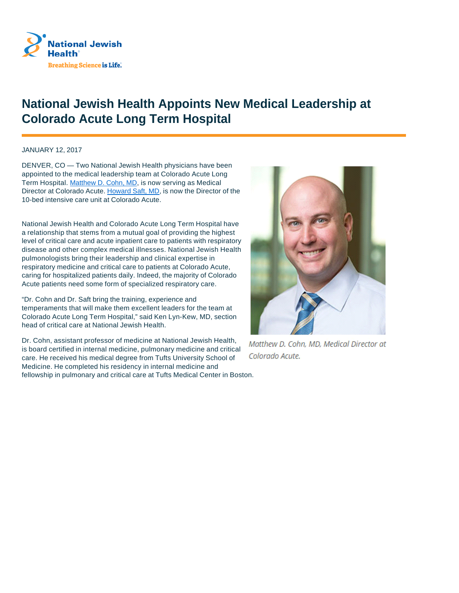

## **National Jewish Health Appoints New Medical Leadership at Colorado Acute Long Term Hospital**

JANUARY 12, 2017

DENVER, CO — Two National Jewish Health physicians have been appointed to the medical leadership team at Colorado Acute Long Term Hospital. Matthew D. Cohn, MD, is now serving as Medical Director at Colorado Acute. Howard Saft, MD, is now the Director of the 10-bed intensive care unit at Colorado Acute.

National Jewish Health and Colorado Acute Long Term Hospital have a relationship that stems from a mutual goal of providing the highest level of critical care and acute inpatient care to patients with respiratory disease and other complex medical illnesses. National Jewish Health pulmonologists bring their leadership and clinical expertise in respiratory medicine and critical care to patients at Colorado Acute, caring for hospitalized patients daily. Indeed, the majority of Colorado Acute patients need some form of specialized respiratory care.

"Dr. Cohn and Dr. Saft bring the training, experience and temperaments that will make them excellent leaders for the team at Colorado Acute Long Term Hospital," said Ken Lyn-Kew, MD, section head of critical care at National Jewish Health.

Dr. Cohn, assistant professor of medicine at National Jewish Health, is board certified in internal medicine, pulmonary medicine and critical care. He received his medical degree from Tufts University School of Medicine. He completed his residency in internal medicine and fellowship in pulmonary and critical care at Tufts Medical Center in Boston.



Matthew D. Cohn. MD. Medical Director at Colorado Acute.